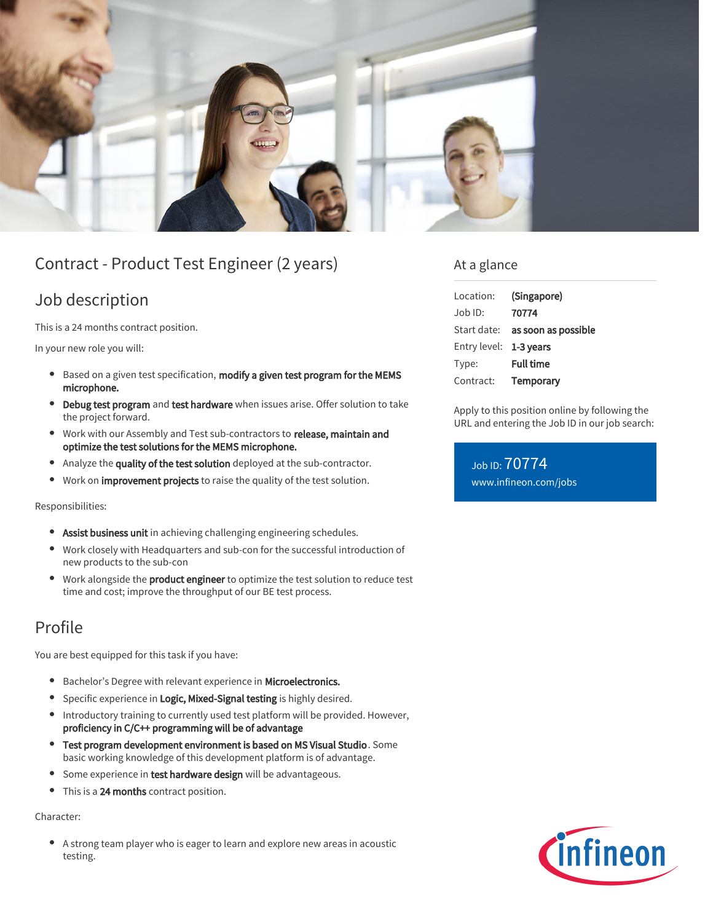

# Contract - Product Test Engineer (2 years)

## Job description

This is a 24 months contract position.

In your new role you will:

- Based on a given test specification, modify a given test program for the MEMS microphone.
- Debug test program and test hardware when issues arise. Offer solution to take the project forward.
- Work with our Assembly and Test sub-contractors to release, maintain and optimize the test solutions for the MEMS microphone.
- Analyze the quality of the test solution deployed at the sub-contractor.  $\bullet$
- Work on *improvement projects* to raise the quality of the test solution.

#### Responsibilities:

- **Assist business unit** in achieving challenging engineering schedules.
- Work closely with Headquarters and sub-con for the successful introduction of  $\bullet$ new products to the sub-con
- Work alongside the **product engineer** to optimize the test solution to reduce test time and cost; improve the throughput of our BE test process.

# Profile

You are best equipped for this task if you have:

- **•** Bachelor's Degree with relevant experience in Microelectronics.
- **•** Specific experience in Logic, Mixed-Signal testing is highly desired.
- Introductory training to currently used test platform will be provided. However, proficiency in C/C++ programming will be of advantage
- Test program development environment is based on MS Visual Studio. Some basic working knowledge of this development platform is of advantage.
- Some experience in test hardware design will be advantageous.
- This is a 24 months contract position.  $\bullet$

#### Character:

 $\bullet$ A strong team player who is eager to learn and explore new areas in acoustic testing.

### At a glance

| Location:              | (Singapore)                            |
|------------------------|----------------------------------------|
| Job ID:                | 70774                                  |
|                        | Start date: <b>as soon as possible</b> |
| Entry level: 1-3 years |                                        |
| Type:                  | <b>Full time</b>                       |
| Contract:              | Temporary                              |

Apply to this position online by following the URL and entering the Job ID in our job search:

Job ID: 70774 [www.infineon.com/jobs](https://www.infineon.com/jobs)